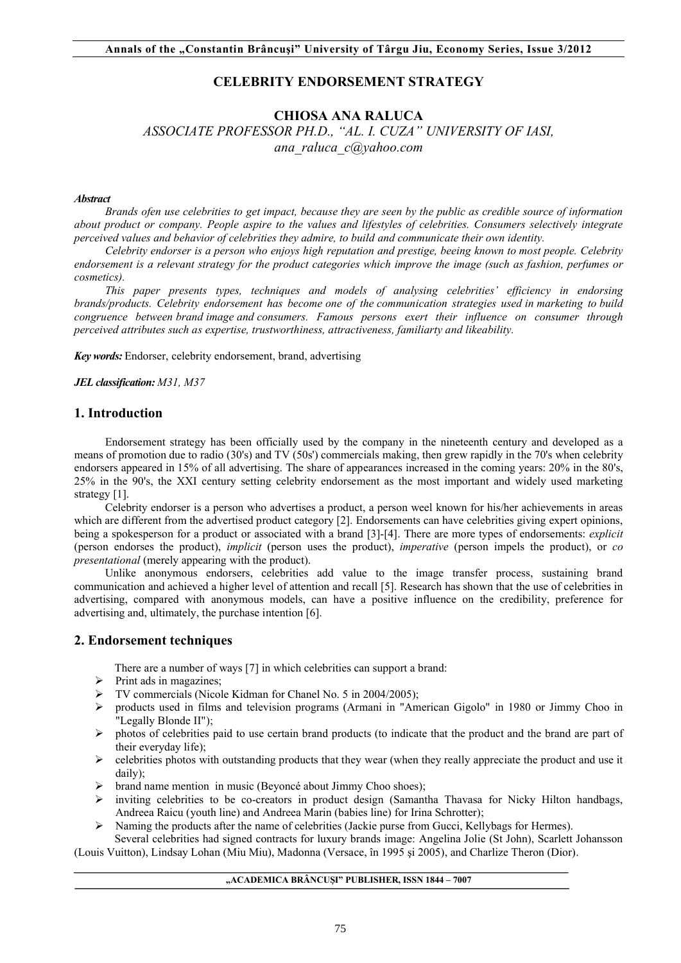# **CELEBRITY ENDORSEMENT STRATEGY**

# **CHIOSA ANA RALUCA**

*ASSOCIATE PROFESSOR PH.D., "AL. I. CUZA" UNIVERSITY OF IASI, ana\_raluca\_c@yahoo.com*

#### *Abstract*

*Brands ofen use celebrities to get impact, because they are seen by the public as credible source of information about product or company. People aspire to the values and lifestyles of celebrities. Consumers selectively integrate perceived values and behavior of celebrities they admire, to build and communicate their own identity.*

*Celebrity endorser is a person who enjoys high reputation and prestige, beeing known to most people. Celebrity endorsement is a relevant strategy for the product categories which improve the image (such as fashion, perfumes or cosmetics).*

*This paper presents types, techniques and models of analysing celebrities' efficiency in endorsing brands/products. Celebrity endorsement has become one of the communication strategies used in marketing to build congruence between brand image and consumers. Famous persons exert their influence on consumer through perceived attributes such as expertise, trustworthiness, attractiveness, familiarty and likeability.*

*Key words:* Endorser, celebrity endorsement, brand, advertising

*JEL classification: M31, M37*

#### **1. Introduction**

Endorsement strategy has been officially used by the company in the nineteenth century and developed as a means of promotion due to radio (30's) and TV (50s') commercials making, then grew rapidly in the 70's when celebrity endorsers appeared in 15% of all advertising. The share of appearances increased in the coming years: 20% in the 80's, 25% in the 90's, the XXI century setting celebrity endorsement as the most important and widely used marketing strategy [1].

Celebrity endorser is a person who advertises a product, a person weel known for his/her achievements in areas which are different from the advertised product category [2]. Endorsements can have celebrities giving expert opinions, being a spokesperson for a product or associated with a brand [3]-[4]. There are more types of endorsements: *explicit*  (person endorses the product), *implicit* (person uses the product), *imperative* (person impels the product), or *co presentational* (merely appearing with the product).

Unlike anonymous endorsers, celebrities add value to the image transfer process, sustaining brand communication and achieved a higher level of attention and recall [5]. Research has shown that the use of celebrities in advertising, compared with anonymous models, can have a positive influence on the credibility, preference for advertising and, ultimately, the purchase intention [6].

#### **2. Endorsement techniques**

There are a number of ways [7] in which celebrities can support a brand:

- $\triangleright$  Print ads in magazines;
- TV commercials (Nicole Kidman for Chanel No. 5 in 2004/2005);
- products used in films and television programs (Armani in "American Gigolo" in 1980 or Jimmy Choo in "Legally Blonde II");
- $\triangleright$  photos of celebrities paid to use certain brand products (to indicate that the product and the brand are part of their everyday life);
- $\triangleright$  celebrities photos with outstanding products that they wear (when they really appreciate the product and use it daily);
- $\triangleright$  brand name mention in music (Beyoncé about Jimmy Choo shoes);
- $\triangleright$  inviting celebrities to be co-creators in product design (Samantha Thavasa for Nicky Hilton handbags, Andreea Raicu (youth line) and Andreea Marin (babies line) for Irina Schrotter);
- $\triangleright$  Naming the products after the name of celebrities (Jackie purse from Gucci, Kellybags for Hermes).

Several celebrities had signed contracts for luxury brands image: Angelina Jolie (St John), Scarlett Johansson (Louis Vuitton), Lindsay Lohan (Miu Miu), Madonna (Versace, în 1995 şi 2005), and Charlize Theron (Dior).

#### **"ACADEMICA BRÂNCUŞI" PUBLISHER, ISSN 1844 – 7007**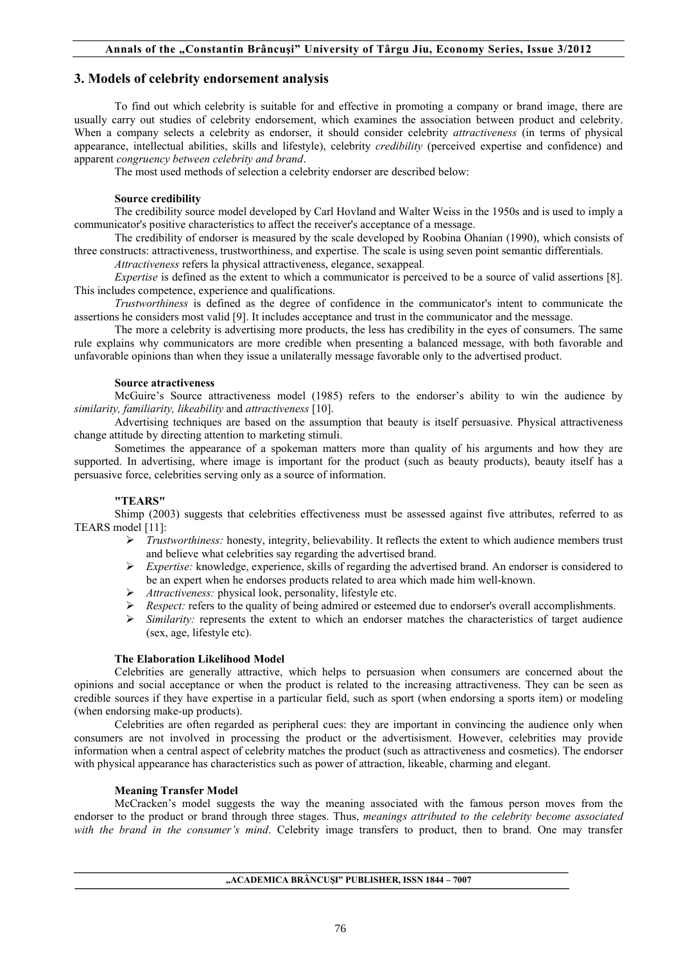## **3. Models of celebrity endorsement analysis**

To find out which celebrity is suitable for and effective in promoting a company or brand image, there are usually carry out studies of celebrity endorsement, which examines the association between product and celebrity. When a company selects a celebrity as endorser, it should consider celebrity *attractiveness* (in terms of physical appearance, intellectual abilities, skills and lifestyle), celebrity *credibility* (perceived expertise and confidence) and apparent *congruency between celebrity and brand*.

The most used methods of selection a celebrity endorser are described below:

#### **Source credibility**

The credibility source model developed by Carl Hovland and Walter Weiss in the 1950s and is used to imply a communicator's positive characteristics to affect the receiver's acceptance of a message.

The credibility of endorser is measured by the scale developed by Roobina Ohanian (1990), which consists of three constructs: attractiveness, trustworthiness, and expertise. The scale is using seven point semantic differentials.

*Attractiveness* refers la physical attractiveness, elegance, sexappeal*.*

*Expertise* is defined as the extent to which a communicator is perceived to be a source of valid assertions [8]. This includes competence, experience and qualifications.

*Trustworthiness* is defined as the degree of confidence in the communicator's intent to communicate the assertions he considers most valid [9]. It includes acceptance and trust in the communicator and the message.

The more a celebrity is advertising more products, the less has credibility in the eyes of consumers. The same rule explains why communicators are more credible when presenting a balanced message, with both favorable and unfavorable opinions than when they issue a unilaterally message favorable only to the advertised product.

#### **Source atractiveness**

McGuire's Source attractiveness model (1985) refers to the endorser's ability to win the audience by *similarity, familiarity, likeability* and *attractiveness* [10].

Advertising techniques are based on the assumption that beauty is itself persuasive. Physical attractiveness change attitude by directing attention to marketing stimuli.

Sometimes the appearance of a spokeman matters more than quality of his arguments and how they are supported. In advertising, where image is important for the product (such as beauty products), beauty itself has a persuasive force, celebrities serving only as a source of information.

## **"TEARS"**

Shimp (2003) suggests that celebrities effectiveness must be assessed against five attributes, referred to as TEARS model [11]:

- *Trustworthiness:* honesty, integrity, believability. It reflects the extent to which audience members trust and believe what celebrities say regarding the advertised brand.
- *Expertise:* knowledge, experience, skills of regarding the advertised brand. An endorser is considered to be an expert when he endorses products related to area which made him well-known.
- *Attractiveness:* physical look, personality, lifestyle etc.
- *Respect:* refers to the quality of being admired or esteemed due to endorser's overall accomplishments.
- $\triangleright$  *Similarity:* represents the extent to which an endorser matches the characteristics of target audience (sex, age, lifestyle etc).

## **The Elaboration Likelihood Model**

Celebrities are generally attractive, which helps to persuasion when consumers are concerned about the opinions and social acceptance or when the product is related to the increasing attractiveness. They can be seen as credible sources if they have expertise in a particular field, such as sport (when endorsing a sports item) or modeling (when endorsing make-up products).

Celebrities are often regarded as peripheral cues: they are important in convincing the audience only when consumers are not involved in processing the product or the advertisisment. However, celebrities may provide information when a central aspect of celebrity matches the product (such as attractiveness and cosmetics). The endorser with physical appearance has characteristics such as power of attraction, likeable, charming and elegant.

## **Meaning Transfer Model**

McCracken's model suggests the way the meaning associated with the famous person moves from the endorser to the product or brand through three stages. Thus, *meanings attributed to the celebrity become associated with the brand in the consumer's mind*. Celebrity image transfers to product, then to brand. One may transfer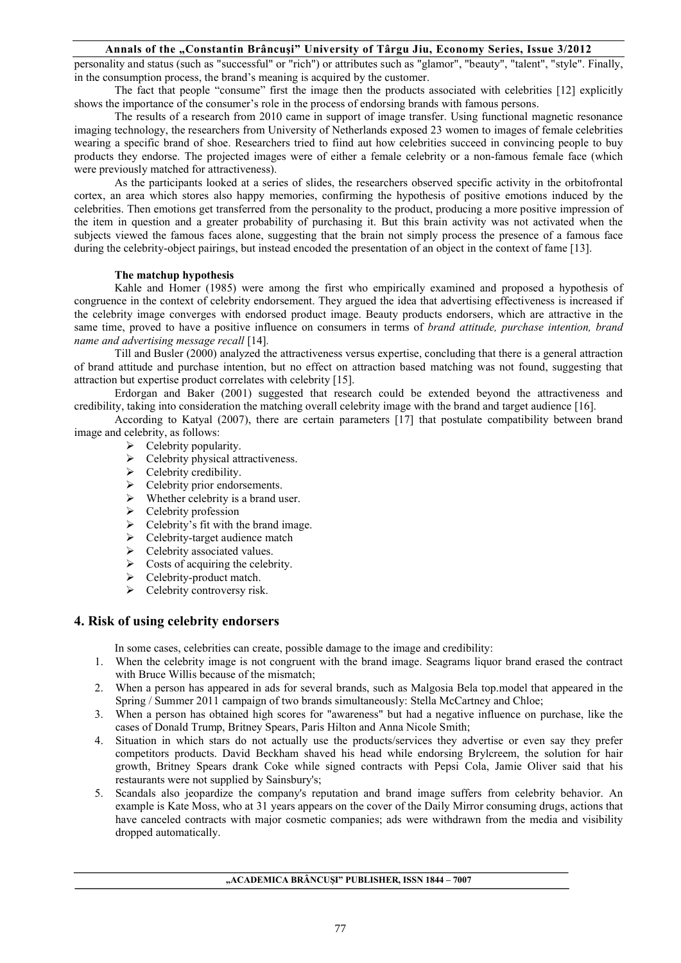### **Annals of the "Constantin Brâncuşi" University of Târgu Jiu, Economy Series, Issue 3/2012**

personality and status (such as "successful" or "rich") or attributes such as "glamor", "beauty", "talent", "style". Finally, in the consumption process, the brand's meaning is acquired by the customer.

The fact that people "consume" first the image then the products associated with celebrities [12] explicitly shows the importance of the consumer's role in the process of endorsing brands with famous persons.

The results of a research from 2010 came in support of image transfer. Using functional magnetic resonance imaging technology, the researchers from University of Netherlands exposed 23 women to images of female celebrities wearing a specific brand of shoe. Researchers tried to fiind aut how celebrities succeed in convincing people to buy products they endorse. The projected images were of either a female celebrity or a non-famous female face (which were previously matched for attractiveness).

As the participants looked at a series of slides, the researchers observed specific activity in the orbitofrontal cortex, an area which stores also happy memories, confirming the hypothesis of positive emotions induced by the celebrities. Then emotions get transferred from the personality to the product, producing a more positive impression of the item in question and a greater probability of purchasing it. But this brain activity was not activated when the subjects viewed the famous faces alone, suggesting that the brain not simply process the presence of a famous face during the celebrity-object pairings, but instead encoded the presentation of an object in the context of fame [13].

#### **The matchup hypothesis**

Kahle and Homer (1985) were among the first who empirically examined and proposed a hypothesis of congruence in the context of celebrity endorsement. They argued the idea that advertising effectiveness is increased if the celebrity image converges with endorsed product image. Beauty products endorsers, which are attractive in the same time, proved to have a positive influence on consumers in terms of *brand attitude, purchase intention, brand name and advertising message recall* [14]*.*

Till and Busler (2000) analyzed the attractiveness versus expertise, concluding that there is a general attraction of brand attitude and purchase intention, but no effect on attraction based matching was not found, suggesting that attraction but expertise product correlates with celebrity [15].

Erdorgan and Baker (2001) suggested that research could be extended beyond the attractiveness and credibility, taking into consideration the matching overall celebrity image with the brand and target audience [16].

According to Katyal (2007), there are certain parameters [17] that postulate compatibility between brand image and celebrity, as follows:

- $\triangleright$  Celebrity popularity.
- $\triangleright$  Celebrity physical attractiveness.
- $\triangleright$  Celebrity credibility.
- $\triangleright$  Celebrity prior endorsements.
- $\triangleright$  Whether celebrity is a brand user.
- $\triangleright$  Celebrity profession
- $\triangleright$  Celebrity's fit with the brand image.
- $\triangleright$  Celebrity-target audience match
- $\triangleright$  Celebrity associated values.
- $\triangleright$  Costs of acquiring the celebrity.
- $\triangleright$  Celebrity-product match.
- $\triangleright$  Celebrity controversy risk.

## **4. Risk of using celebrity endorsers**

In some cases, celebrities can create, possible damage to the image and credibility:

- 1. When the celebrity image is not congruent with the brand image. Seagrams liquor brand erased the contract with Bruce Willis because of the mismatch;
- 2. When a person has appeared in ads for several brands, such as Malgosia Bela top.model that appeared in the Spring / Summer 2011 campaign of two brands simultaneously: Stella McCartney and Chloe;
- 3. When a person has obtained high scores for "awareness" but had a negative influence on purchase, like the cases of Donald Trump, Britney Spears, Paris Hilton and Anna Nicole Smith;
- 4. Situation in which stars do not actually use the products/services they advertise or even say they prefer competitors products. David Beckham shaved his head while endorsing Brylcreem, the solution for hair growth, Britney Spears drank Coke while signed contracts with Pepsi Cola, Jamie Oliver said that his restaurants were not supplied by Sainsbury's;
- 5. Scandals also jeopardize the company's reputation and brand image suffers from celebrity behavior. An example is Kate Moss, who at 31 years appears on the cover of the Daily Mirror consuming drugs, actions that have canceled contracts with major cosmetic companies; ads were withdrawn from the media and visibility dropped automatically.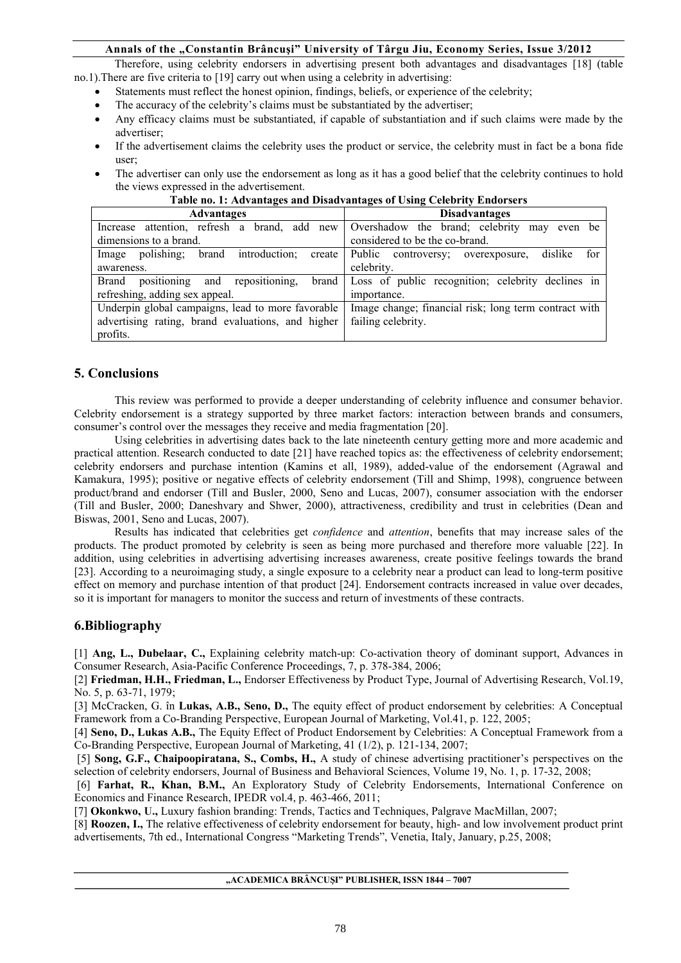## **Annals of the "Constantin Brâncuşi" University of Târgu Jiu, Economy Series, Issue 3/2012**

Therefore, using celebrity endorsers in advertising present both advantages and disadvantages [18] (table no.1).There are five criteria to [19] carry out when using a celebrity in advertising:

- Statements must reflect the honest opinion, findings, beliefs, or experience of the celebrity;
- The accuracy of the celebrity's claims must be substantiated by the advertiser;
- Any efficacy claims must be substantiated, if capable of substantiation and if such claims were made by the advertiser;
- If the advertisement claims the celebrity uses the product or service, the celebrity must in fact be a bona fide user;
- The advertiser can only use the endorsement as long as it has a good belief that the celebrity continues to hold the views expressed in the advertisement.

| <b>Advantages</b>                                       | <b>Disadvantages</b>                                   |
|---------------------------------------------------------|--------------------------------------------------------|
| attention, refresh a brand, add new<br>Increase         | Overshadow the brand; celebrity<br>may even be         |
| dimensions to a brand.                                  | considered to be the co-brand.                         |
| introduction;<br>polishing:<br>brand<br>Image<br>create | Public controversy;<br>dislike<br>for<br>overexposure, |
| awareness.                                              | celebrity.                                             |
| repositioning,<br>positioning and<br>Brand<br>brand     | Loss of public recognition; celebrity declines in      |
| refreshing, adding sex appeal.                          | importance.                                            |
| Underpin global campaigns, lead to more favorable       | Image change; financial risk; long term contract with  |
| advertising rating, brand evaluations, and higher       | failing celebrity.                                     |
| profits.                                                |                                                        |

## **Table no. 1: Advantages and Disadvantages of Using Celebrity Endorsers**

# **5. Conclusions**

This review was performed to provide a deeper understanding of celebrity influence and consumer behavior. Celebrity endorsement is a strategy supported by three market factors: interaction between brands and consumers, consumer's control over the messages they receive and media fragmentation [20].

Using celebrities in advertising dates back to the late nineteenth century getting more and more academic and practical attention. Research conducted to date [21] have reached topics as: the effectiveness of celebrity endorsement; celebrity endorsers and purchase intention (Kamins et all, 1989), added-value of the endorsement (Agrawal and Kamakura, 1995); positive or negative effects of celebrity endorsement (Till and Shimp, 1998), congruence between product/brand and endorser (Till and Busler, 2000, Seno and Lucas, 2007), consumer association with the endorser (Till and Busler, 2000; Daneshvary and Shwer, 2000), attractiveness, credibility and trust in celebrities (Dean and Biswas, 2001, Seno and Lucas, 2007).

Results has indicated that celebrities get *confidence* and *attention*, benefits that may increase sales of the products. The product promoted by celebrity is seen as being more purchased and therefore more valuable [22]. In addition, using celebrities in advertising advertising increases awareness, create positive feelings towards the brand [23]. According to a neuroimaging study, a single exposure to a celebrity near a product can lead to long-term positive effect on memory and purchase intention of that product [24]. Endorsement contracts increased in value over decades, so it is important for managers to monitor the success and return of investments of these contracts.

# **6.Bibliography**

[1] **Ang, L., Dubelaar, C.,** Explaining celebrity match-up: Co-activation theory of dominant support, Advances in Consumer Research, Asia-Pacific Conference Proceedings, 7, p. 378-384, 2006;

[2] **Friedman, H.H., Friedman, L.,** Endorser Effectiveness by Product Type, Journal of Advertising Research, Vol.19, No. 5, p. 63-71, 1979;

[3] McCracken, G. în **Lukas, A.B., Seno, D.,** The equity effect of product endorsement by celebrities: A Conceptual Framework from a Co-Branding Perspective, European Journal of Marketing, Vol.41, p. 122, 2005;

[4] **Seno, D., Lukas A.B.,** The Equity Effect of Product Endorsement by Celebrities: A Conceptual Framework from a Co-Branding Perspective, European Journal of Marketing, 41 (1/2), p. 121-134, 2007;

 [5] **Song, G.F., Chaipoopiratana, S., Combs, H.,** A study of chinese advertising practitioner's perspectives on the selection of celebrity endorsers, Journal of Business and Behavioral Sciences, Volume 19, No. 1, p. 17-32, 2008;

[6] **Farhat, R., Khan, B.M.,** An Exploratory Study of Celebrity Endorsements, International Conference on Economics and Finance Research, IPEDR vol.4, p. 463-466, 2011;

[7] **Okonkwo, U.,** Luxury fashion branding: Trends, Tactics and Techniques, Palgrave MacMillan, 2007;

[8] **Roozen, I.,** The relative effectiveness of celebrity endorsement for beauty, high- and low involvement product print advertisements, 7th ed., International Congress "Marketing Trends", Venetia, Italy, January, p.25, 2008;